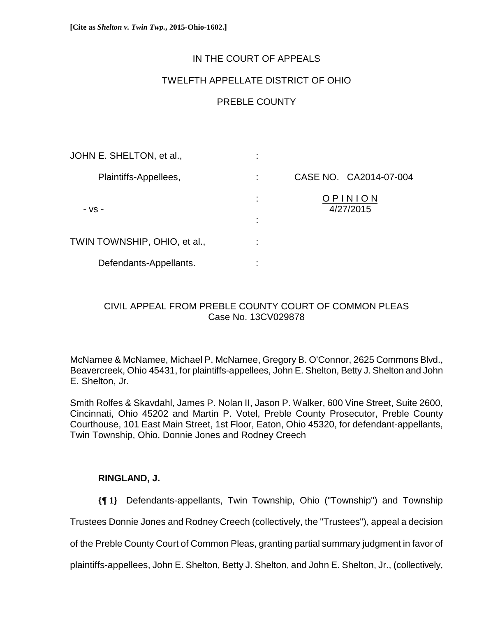# IN THE COURT OF APPEALS

## TWELFTH APPELLATE DISTRICT OF OHIO

# PREBLE COUNTY

| JOHN E. SHELTON, et al.,     | ٠                        |                        |
|------------------------------|--------------------------|------------------------|
| Plaintiffs-Appellees,        |                          | CASE NO. CA2014-07-004 |
| - VS -                       | ÷<br>٠<br>$\blacksquare$ | PINION<br>4/27/2015    |
| TWIN TOWNSHIP, OHIO, et al., | ٠                        |                        |
| Defendants-Appellants.       | ٠                        |                        |

# CIVIL APPEAL FROM PREBLE COUNTY COURT OF COMMON PLEAS Case No. 13CV029878

McNamee & McNamee, Michael P. McNamee, Gregory B. O'Connor, 2625 Commons Blvd., Beavercreek, Ohio 45431, for plaintiffs-appellees, John E. Shelton, Betty J. Shelton and John E. Shelton, Jr.

Smith Rolfes & Skavdahl, James P. Nolan II, Jason P. Walker, 600 Vine Street, Suite 2600, Cincinnati, Ohio 45202 and Martin P. Votel, Preble County Prosecutor, Preble County Courthouse, 101 East Main Street, 1st Floor, Eaton, Ohio 45320, for defendant-appellants, Twin Township, Ohio, Donnie Jones and Rodney Creech

## **RINGLAND, J.**

**{¶ 1}** Defendants-appellants, Twin Township, Ohio ("Township") and Township Trustees Donnie Jones and Rodney Creech (collectively, the "Trustees"), appeal a decision of the Preble County Court of Common Pleas, granting partial summary judgment in favor of

plaintiffs-appellees, John E. Shelton, Betty J. Shelton, and John E. Shelton, Jr., (collectively,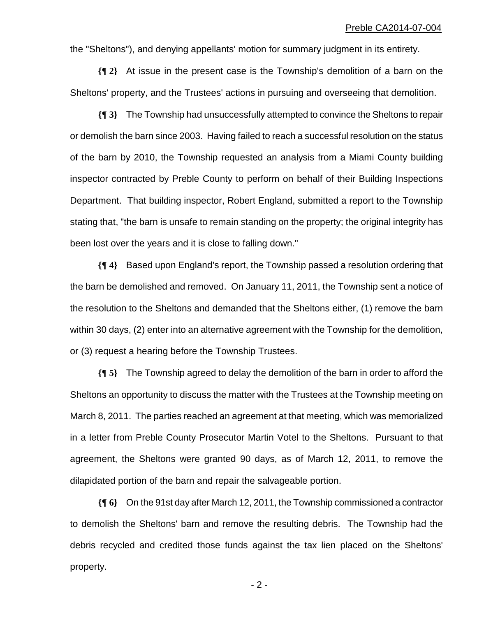the "Sheltons"), and denying appellants' motion for summary judgment in its entirety.

**{¶ 2}** At issue in the present case is the Township's demolition of a barn on the Sheltons' property, and the Trustees' actions in pursuing and overseeing that demolition.

**{¶ 3}** The Township had unsuccessfully attempted to convince the Sheltons to repair or demolish the barn since 2003. Having failed to reach a successful resolution on the status of the barn by 2010, the Township requested an analysis from a Miami County building inspector contracted by Preble County to perform on behalf of their Building Inspections Department. That building inspector, Robert England, submitted a report to the Township stating that, "the barn is unsafe to remain standing on the property; the original integrity has been lost over the years and it is close to falling down."

**{¶ 4}** Based upon England's report, the Township passed a resolution ordering that the barn be demolished and removed. On January 11, 2011, the Township sent a notice of the resolution to the Sheltons and demanded that the Sheltons either, (1) remove the barn within 30 days, (2) enter into an alternative agreement with the Township for the demolition, or (3) request a hearing before the Township Trustees.

**{¶ 5}** The Township agreed to delay the demolition of the barn in order to afford the Sheltons an opportunity to discuss the matter with the Trustees at the Township meeting on March 8, 2011. The parties reached an agreement at that meeting, which was memorialized in a letter from Preble County Prosecutor Martin Votel to the Sheltons. Pursuant to that agreement, the Sheltons were granted 90 days, as of March 12, 2011, to remove the dilapidated portion of the barn and repair the salvageable portion.

**{¶ 6}** On the 91st day after March 12, 2011, the Township commissioned a contractor to demolish the Sheltons' barn and remove the resulting debris. The Township had the debris recycled and credited those funds against the tax lien placed on the Sheltons' property.

 $-2$  -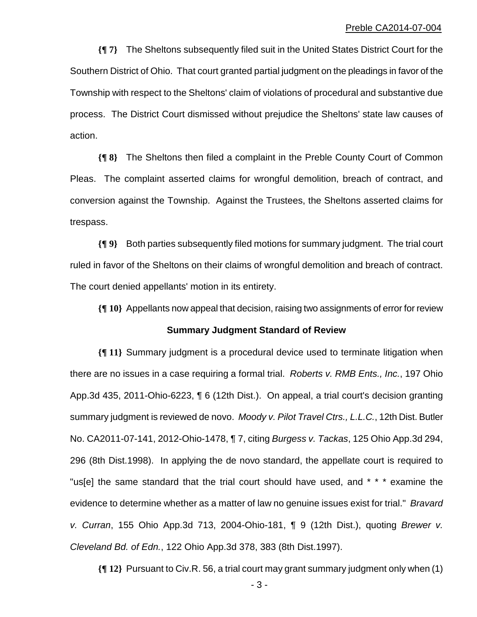**{¶ 7}** The Sheltons subsequently filed suit in the United States District Court for the Southern District of Ohio. That court granted partial judgment on the pleadings in favor of the Township with respect to the Sheltons' claim of violations of procedural and substantive due process. The District Court dismissed without prejudice the Sheltons' state law causes of action.

**{¶ 8}** The Sheltons then filed a complaint in the Preble County Court of Common Pleas. The complaint asserted claims for wrongful demolition, breach of contract, and conversion against the Township. Against the Trustees, the Sheltons asserted claims for trespass.

**{¶ 9}** Both parties subsequently filed motions for summary judgment. The trial court ruled in favor of the Sheltons on their claims of wrongful demolition and breach of contract. The court denied appellants' motion in its entirety.

**{¶ 10}** Appellants now appeal that decision, raising two assignments of error for review

### **Summary Judgment Standard of Review**

**{¶ 11}** Summary judgment is a procedural device used to terminate litigation when there are no issues in a case requiring a formal trial. *Roberts v. RMB Ents., Inc.*, 197 Ohio App.3d 435, 2011-Ohio-6223, ¶ 6 (12th Dist.). On appeal, a trial court's decision granting summary judgment is reviewed de novo. *Moody v. Pilot Travel Ctrs., L.L.C.*, 12th Dist. Butler No. CA2011-07-141, 2012-Ohio-1478, ¶ 7, citing *Burgess v. Tackas*, 125 Ohio App.3d 294, 296 (8th Dist.1998). In applying the de novo standard, the appellate court is required to "us[e] the same standard that the trial court should have used, and \* \* \* examine the evidence to determine whether as a matter of law no genuine issues exist for trial." *Bravard v. Curran*, 155 Ohio App.3d 713, 2004-Ohio-181, ¶ 9 (12th Dist.), quoting *Brewer v. Cleveland Bd. of Edn.*, 122 Ohio App.3d 378, 383 (8th Dist.1997).

**{¶ 12}** Pursuant to Civ.R. 56, a trial court may grant summary judgment only when (1)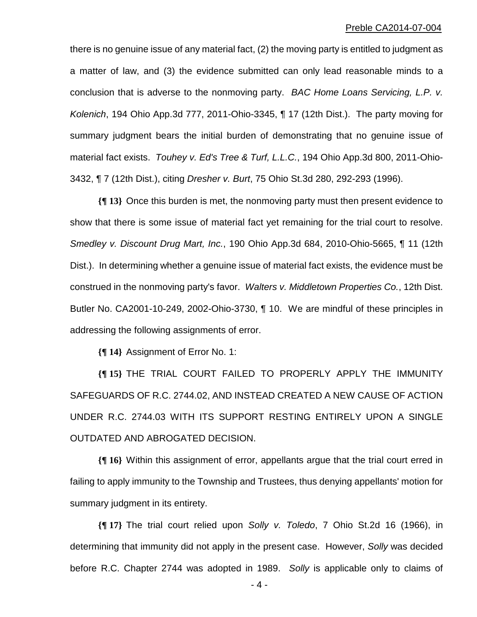there is no genuine issue of any material fact, (2) the moving party is entitled to judgment as a matter of law, and (3) the evidence submitted can only lead reasonable minds to a conclusion that is adverse to the nonmoving party. *BAC Home Loans Servicing, L.P. v. Kolenich*, 194 Ohio App.3d 777, 2011-Ohio-3345, ¶ 17 (12th Dist.). The party moving for summary judgment bears the initial burden of demonstrating that no genuine issue of material fact exists. *Touhey v. Ed's Tree & Turf, L.L.C.*, 194 Ohio App.3d 800, 2011-Ohio-3432, ¶ 7 (12th Dist.), citing *Dresher v. Burt*, 75 Ohio St.3d 280, 292-293 (1996).

**{¶ 13}** Once this burden is met, the nonmoving party must then present evidence to show that there is some issue of material fact yet remaining for the trial court to resolve. *Smedley v. Discount Drug Mart, Inc.*, 190 Ohio App.3d 684, 2010-Ohio-5665, ¶ 11 (12th Dist.). In determining whether a genuine issue of material fact exists, the evidence must be construed in the nonmoving party's favor. *Walters v. Middletown Properties Co.*, 12th Dist. Butler No. CA2001-10-249, 2002-Ohio-3730, ¶ 10. We are mindful of these principles in addressing the following assignments of error.

**{¶ 14}** Assignment of Error No. 1:

**{¶ 15}** THE TRIAL COURT FAILED TO PROPERLY APPLY THE IMMUNITY SAFEGUARDS OF R.C. 2744.02, AND INSTEAD CREATED A NEW CAUSE OF ACTION UNDER R.C. 2744.03 WITH ITS SUPPORT RESTING ENTIRELY UPON A SINGLE OUTDATED AND ABROGATED DECISION.

**{¶ 16}** Within this assignment of error, appellants argue that the trial court erred in failing to apply immunity to the Township and Trustees, thus denying appellants' motion for summary judgment in its entirety.

**{¶ 17}** The trial court relied upon *Solly v. Toledo*, 7 Ohio St.2d 16 (1966), in determining that immunity did not apply in the present case. However, *Solly* was decided before R.C. Chapter 2744 was adopted in 1989. *Solly* is applicable only to claims of

 $-4-$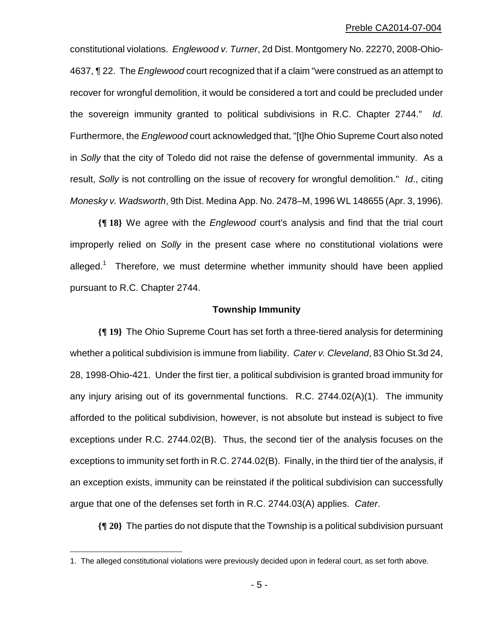constitutional violations. *Englewood v. Turner*, 2d Dist. Montgomery No. 22270, 2008-Ohio-4637, ¶ 22. The *Englewood* court recognized that if a claim "were construed as an attempt to recover for wrongful demolition, it would be considered a tort and could be precluded under the sovereign immunity granted to political subdivisions in R.C. Chapter 2744." *Id*. Furthermore, the *Englewood* court acknowledged that, "[t]he Ohio Supreme Court also noted in *Solly* that the city of Toledo did not raise the defense of governmental immunity. As a result, *Solly* is not controlling on the issue of recovery for wrongful demolition." *Id*., citing *Monesky v. Wadsworth*, 9th Dist. Medina App. No. 2478–M, 1996 WL 148655 (Apr. 3, 1996).

**{¶ 18}** We agree with the *Englewood* court's analysis and find that the trial court improperly relied on *Solly* in the present case where no constitutional violations were alleged.<sup>1</sup> Therefore, we must determine whether immunity should have been applied pursuant to R.C. Chapter 2744.

## **Township Immunity**

**{¶ 19}** The Ohio Supreme Court has set forth a three-tiered analysis for determining whether a political subdivision is immune from liability. *Cater v. Cleveland*, 83 Ohio St.3d 24, 28, 1998-Ohio-421. Under the first tier, a political subdivision is granted broad immunity for any injury arising out of its governmental functions. R.C. 2744.02(A)(1). The immunity afforded to the political subdivision, however, is not absolute but instead is subject to five exceptions under R.C. 2744.02(B). Thus, the second tier of the analysis focuses on the exceptions to immunity set forth in R.C. 2744.02(B). Finally, in the third tier of the analysis, if an exception exists, immunity can be reinstated if the political subdivision can successfully argue that one of the defenses set forth in R.C. 2744.03(A) applies. *Cater*.

**{¶ 20}** The parties do not dispute that the Township is a political subdivision pursuant

<u>.</u>

<sup>1.</sup> The alleged constitutional violations were previously decided upon in federal court, as set forth above.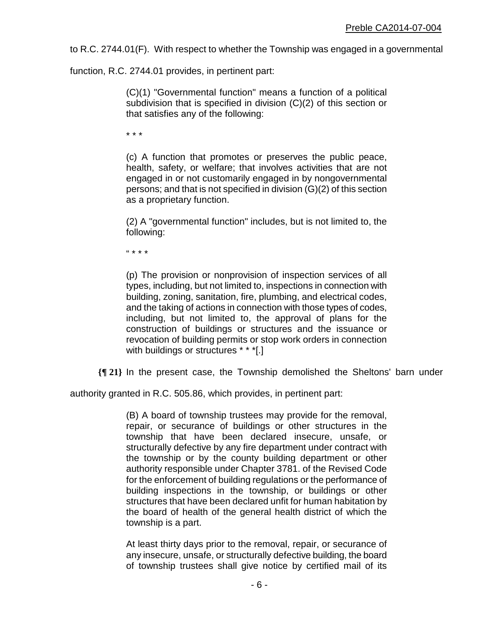to R.C. 2744.01(F). With respect to whether the Township was engaged in a governmental

function, R.C. 2744.01 provides, in pertinent part:

(C)(1) "Governmental function" means a function of a political subdivision that is specified in division (C)(2) of this section or that satisfies any of the following:

\* \* \*

(c) A function that promotes or preserves the public peace, health, safety, or welfare; that involves activities that are not engaged in or not customarily engaged in by nongovernmental persons; and that is not specified in division (G)(2) of this section as a proprietary function.

(2) A "governmental function" includes, but is not limited to, the following:

" \* \* \*

(p) The provision or nonprovision of inspection services of all types, including, but not limited to, inspections in connection with building, zoning, sanitation, fire, plumbing, and electrical codes, and the taking of actions in connection with those types of codes, including, but not limited to, the approval of plans for the construction of buildings or structures and the issuance or revocation of building permits or stop work orders in connection with buildings or structures \* \* \*[.]

**{¶ 21}** In the present case, the Township demolished the Sheltons' barn under

authority granted in R.C. 505.86, which provides, in pertinent part:

(B) A board of township trustees may provide for the removal, repair, or securance of buildings or other structures in the township that have been declared insecure, unsafe, or structurally defective by any fire department under contract with the township or by the county building department or other authority responsible under Chapter 3781. of the Revised Code for the enforcement of building regulations or the performance of building inspections in the township, or buildings or other structures that have been declared unfit for human habitation by the board of health of the general health district of which the township is a part.

At least thirty days prior to the removal, repair, or securance of any insecure, unsafe, or structurally defective building, the board of township trustees shall give notice by certified mail of its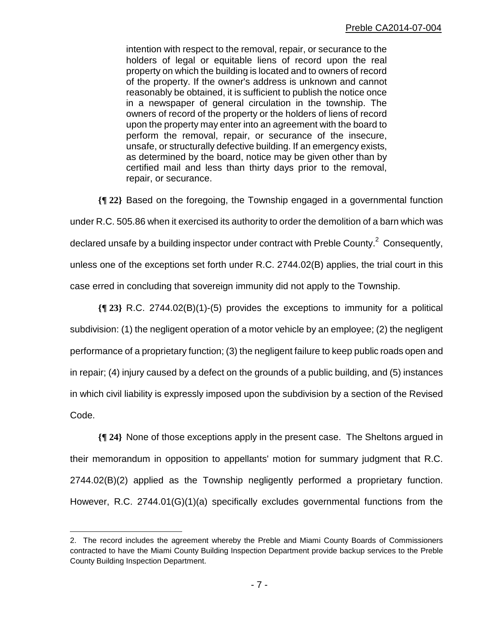intention with respect to the removal, repair, or securance to the holders of legal or equitable liens of record upon the real property on which the building is located and to owners of record of the property. If the owner's address is unknown and cannot reasonably be obtained, it is sufficient to publish the notice once in a newspaper of general circulation in the township. The owners of record of the property or the holders of liens of record upon the property may enter into an agreement with the board to perform the removal, repair, or securance of the insecure, unsafe, or structurally defective building. If an emergency exists, as determined by the board, notice may be given other than by certified mail and less than thirty days prior to the removal, repair, or securance.

**{¶ 22}** Based on the foregoing, the Township engaged in a governmental function under R.C. 505.86 when it exercised its authority to order the demolition of a barn which was declared unsafe by a building inspector under contract with Preble County. $^2$  Consequently, unless one of the exceptions set forth under R.C. 2744.02(B) applies, the trial court in this case erred in concluding that sovereign immunity did not apply to the Township.

**{¶ 23}** R.C. 2744.02(B)(1)-(5) provides the exceptions to immunity for a political subdivision: (1) the negligent operation of a motor vehicle by an employee; (2) the negligent performance of a proprietary function; (3) the negligent failure to keep public roads open and in repair; (4) injury caused by a defect on the grounds of a public building, and (5) instances in which civil liability is expressly imposed upon the subdivision by a section of the Revised Code.

**{¶ 24}** None of those exceptions apply in the present case. The Sheltons argued in their memorandum in opposition to appellants' motion for summary judgment that R.C. 2744.02(B)(2) applied as the Township negligently performed a proprietary function. However, R.C. 2744.01(G)(1)(a) specifically excludes governmental functions from the

1

<sup>2.</sup> The record includes the agreement whereby the Preble and Miami County Boards of Commissioners contracted to have the Miami County Building Inspection Department provide backup services to the Preble County Building Inspection Department.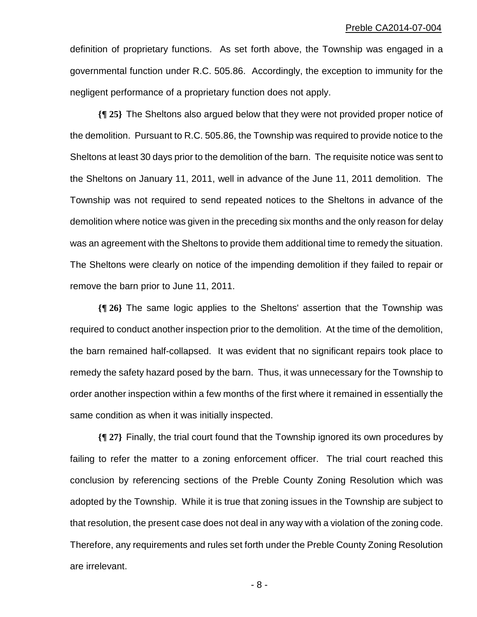definition of proprietary functions. As set forth above, the Township was engaged in a governmental function under R.C. 505.86. Accordingly, the exception to immunity for the negligent performance of a proprietary function does not apply.

**{¶ 25}** The Sheltons also argued below that they were not provided proper notice of the demolition. Pursuant to R.C. 505.86, the Township was required to provide notice to the Sheltons at least 30 days prior to the demolition of the barn. The requisite notice was sent to the Sheltons on January 11, 2011, well in advance of the June 11, 2011 demolition. The Township was not required to send repeated notices to the Sheltons in advance of the demolition where notice was given in the preceding six months and the only reason for delay was an agreement with the Sheltons to provide them additional time to remedy the situation. The Sheltons were clearly on notice of the impending demolition if they failed to repair or remove the barn prior to June 11, 2011.

**{¶ 26}** The same logic applies to the Sheltons' assertion that the Township was required to conduct another inspection prior to the demolition. At the time of the demolition, the barn remained half-collapsed. It was evident that no significant repairs took place to remedy the safety hazard posed by the barn. Thus, it was unnecessary for the Township to order another inspection within a few months of the first where it remained in essentially the same condition as when it was initially inspected.

**{¶ 27}** Finally, the trial court found that the Township ignored its own procedures by failing to refer the matter to a zoning enforcement officer. The trial court reached this conclusion by referencing sections of the Preble County Zoning Resolution which was adopted by the Township. While it is true that zoning issues in the Township are subject to that resolution, the present case does not deal in any way with a violation of the zoning code. Therefore, any requirements and rules set forth under the Preble County Zoning Resolution are irrelevant.

 $-8 -$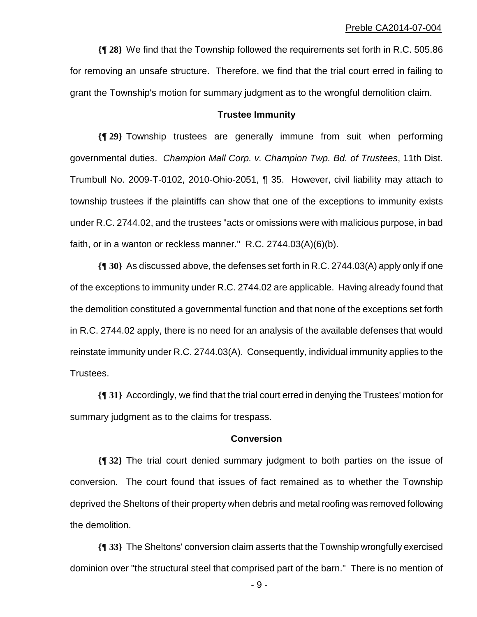**{¶ 28}** We find that the Township followed the requirements set forth in R.C. 505.86 for removing an unsafe structure. Therefore, we find that the trial court erred in failing to grant the Township's motion for summary judgment as to the wrongful demolition claim.

### **Trustee Immunity**

**{¶ 29}** Township trustees are generally immune from suit when performing governmental duties. *Champion Mall Corp. v. Champion Twp. Bd. of Trustees*, 11th Dist. Trumbull No. 2009-T-0102, 2010-Ohio-2051, ¶ 35. However, civil liability may attach to township trustees if the plaintiffs can show that one of the exceptions to immunity exists under R.C. 2744.02, and the trustees "acts or omissions were with malicious purpose, in bad faith, or in a wanton or reckless manner." R.C. 2744.03(A)(6)(b).

**{¶ 30}** As discussed above, the defenses set forth in R.C. 2744.03(A) apply only if one of the exceptions to immunity under R.C. 2744.02 are applicable. Having already found that the demolition constituted a governmental function and that none of the exceptions set forth in R.C. 2744.02 apply, there is no need for an analysis of the available defenses that would reinstate immunity under R.C. 2744.03(A). Consequently, individual immunity applies to the Trustees.

**{¶ 31}** Accordingly, we find that the trial court erred in denying the Trustees' motion for summary judgment as to the claims for trespass.

## **Conversion**

**{¶ 32}** The trial court denied summary judgment to both parties on the issue of conversion. The court found that issues of fact remained as to whether the Township deprived the Sheltons of their property when debris and metal roofing was removed following the demolition.

**{¶ 33}** The Sheltons' conversion claim asserts that the Township wrongfully exercised dominion over "the structural steel that comprised part of the barn." There is no mention of

 $-9 -$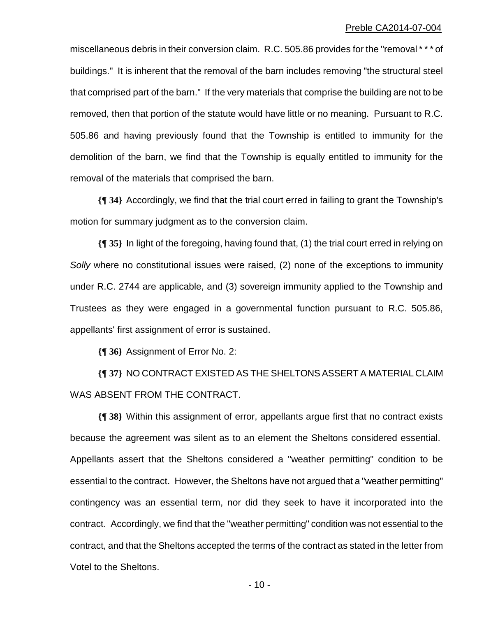miscellaneous debris in their conversion claim. R.C. 505.86 provides for the "removal \* \* \* of buildings." It is inherent that the removal of the barn includes removing "the structural steel that comprised part of the barn." If the very materials that comprise the building are not to be removed, then that portion of the statute would have little or no meaning. Pursuant to R.C. 505.86 and having previously found that the Township is entitled to immunity for the demolition of the barn, we find that the Township is equally entitled to immunity for the removal of the materials that comprised the barn.

**{¶ 34}** Accordingly, we find that the trial court erred in failing to grant the Township's motion for summary judgment as to the conversion claim.

**{¶ 35}** In light of the foregoing, having found that, (1) the trial court erred in relying on *Solly* where no constitutional issues were raised, (2) none of the exceptions to immunity under R.C. 2744 are applicable, and (3) sovereign immunity applied to the Township and Trustees as they were engaged in a governmental function pursuant to R.C. 505.86, appellants' first assignment of error is sustained.

**{¶ 36}** Assignment of Error No. 2:

**{¶ 37}** NO CONTRACT EXISTED AS THE SHELTONS ASSERT A MATERIAL CLAIM WAS ABSENT FROM THE CONTRACT.

**{¶ 38}** Within this assignment of error, appellants argue first that no contract exists because the agreement was silent as to an element the Sheltons considered essential. Appellants assert that the Sheltons considered a "weather permitting" condition to be essential to the contract. However, the Sheltons have not argued that a "weather permitting" contingency was an essential term, nor did they seek to have it incorporated into the contract. Accordingly, we find that the "weather permitting" condition was not essential to the contract, and that the Sheltons accepted the terms of the contract as stated in the letter from Votel to the Sheltons.

 $- 10 -$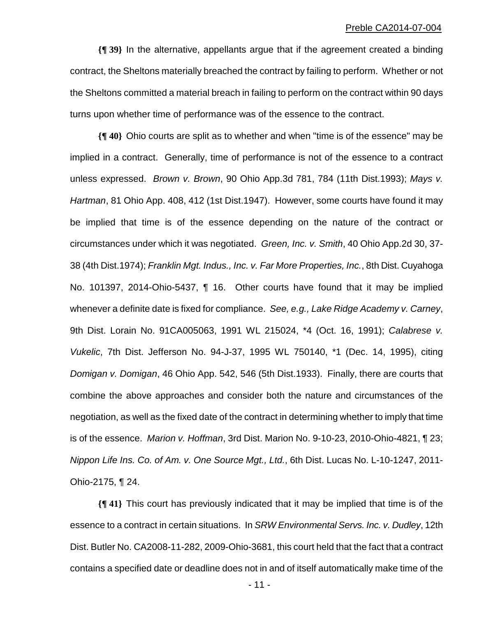**{¶ 39}** In the alternative, appellants argue that if the agreement created a binding contract, the Sheltons materially breached the contract by failing to perform. Whether or not the Sheltons committed a material breach in failing to perform on the contract within 90 days turns upon whether time of performance was of the essence to the contract.

**{¶ 40}** Ohio courts are split as to whether and when "time is of the essence" may be implied in a contract. Generally, time of performance is not of the essence to a contract unless expressed. *Brown v. Brown*, 90 Ohio App.3d 781, 784 (11th Dist.1993); *Mays v. Hartman*, 81 Ohio App. 408, 412 (1st Dist.1947). However, some courts have found it may be implied that time is of the essence depending on the nature of the contract or circumstances under which it was negotiated. *Green, Inc. v. Smith*, 40 Ohio App.2d 30, 37- 38 (4th Dist.1974); *Franklin Mgt. Indus., Inc. v. Far More Properties, Inc.*, 8th Dist. Cuyahoga No. 101397, 2014-Ohio-5437, ¶ 16. Other courts have found that it may be implied whenever a definite date is fixed for compliance. *See, e.g., Lake Ridge Academy v. Carney*, 9th Dist. Lorain No. 91CA005063, 1991 WL 215024, \*4 (Oct. 16, 1991); *Calabrese v. Vukelic*, 7th Dist. Jefferson No. 94-J-37, 1995 WL 750140, \*1 (Dec. 14, 1995), citing *Domigan v. Domigan*, 46 Ohio App. 542, 546 (5th Dist.1933). Finally, there are courts that combine the above approaches and consider both the nature and circumstances of the negotiation, as well as the fixed date of the contract in determining whether to imply that time is of the essence. *Marion v. Hoffman*, 3rd Dist. Marion No. 9-10-23, 2010-Ohio-4821, ¶ 23; *Nippon Life Ins. Co. of Am. v. One Source Mgt., Ltd.*, 6th Dist. Lucas No. L-10-1247, 2011- Ohio-2175, ¶ 24.

**{¶ 41}** This court has previously indicated that it may be implied that time is of the essence to a contract in certain situations. In *SRW Environmental Servs. Inc. v. Dudley*, 12th Dist. Butler No. CA2008-11-282, 2009-Ohio-3681, this court held that the fact that a contract contains a specified date or deadline does not in and of itself automatically make time of the

 $- 11 -$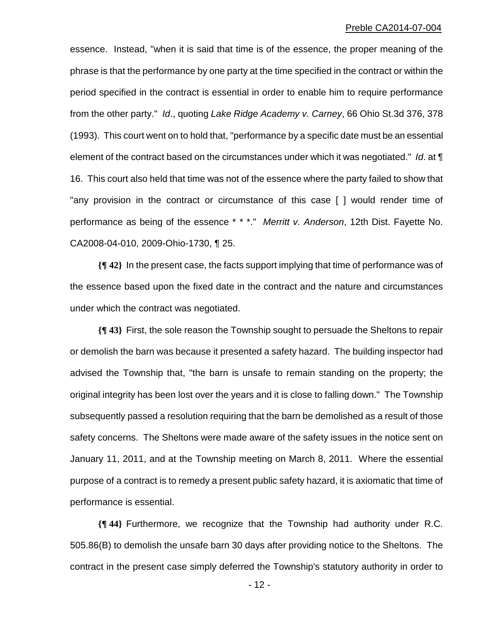essence. Instead, "when it is said that time is of the essence, the proper meaning of the phrase is that the performance by one party at the time specified in the contract or within the period specified in the contract is essential in order to enable him to require performance from the other party." *Id*., quoting *Lake Ridge Academy v. Carney*, 66 Ohio St.3d 376, 378 (1993). This court went on to hold that, "performance by a specific date must be an essential element of the contract based on the circumstances under which it was negotiated." *Id*. at ¶ 16. This court also held that time was not of the essence where the party failed to show that "any provision in the contract or circumstance of this case [ ] would render time of performance as being of the essence \* \* \*." *Merritt v. Anderson*, 12th Dist. Fayette No. CA2008-04-010, 2009-Ohio-1730, ¶ 25.

**{¶ 42}** In the present case, the facts support implying that time of performance was of the essence based upon the fixed date in the contract and the nature and circumstances under which the contract was negotiated.

**{¶ 43}** First, the sole reason the Township sought to persuade the Sheltons to repair or demolish the barn was because it presented a safety hazard. The building inspector had advised the Township that, "the barn is unsafe to remain standing on the property; the original integrity has been lost over the years and it is close to falling down." The Township subsequently passed a resolution requiring that the barn be demolished as a result of those safety concerns. The Sheltons were made aware of the safety issues in the notice sent on January 11, 2011, and at the Township meeting on March 8, 2011. Where the essential purpose of a contract is to remedy a present public safety hazard, it is axiomatic that time of performance is essential.

**{¶ 44}** Furthermore, we recognize that the Township had authority under R.C. 505.86(B) to demolish the unsafe barn 30 days after providing notice to the Sheltons. The contract in the present case simply deferred the Township's statutory authority in order to

 $- 12 -$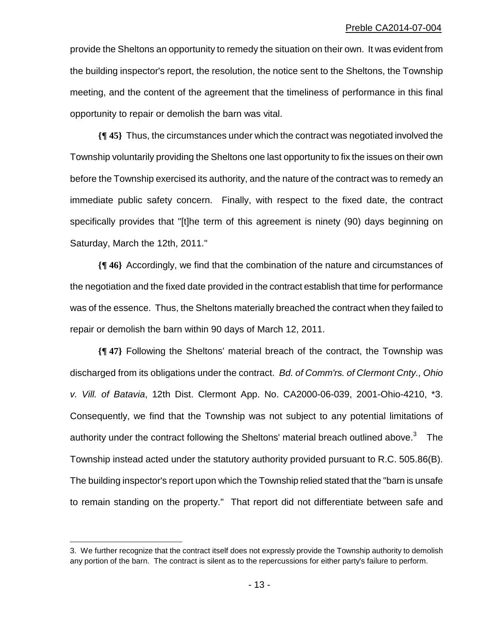provide the Sheltons an opportunity to remedy the situation on their own. It was evident from the building inspector's report, the resolution, the notice sent to the Sheltons, the Township meeting, and the content of the agreement that the timeliness of performance in this final opportunity to repair or demolish the barn was vital.

**{¶ 45}** Thus, the circumstances under which the contract was negotiated involved the Township voluntarily providing the Sheltons one last opportunity to fix the issues on their own before the Township exercised its authority, and the nature of the contract was to remedy an immediate public safety concern. Finally, with respect to the fixed date, the contract specifically provides that "[t]he term of this agreement is ninety (90) days beginning on Saturday, March the 12th, 2011."

**{¶ 46}** Accordingly, we find that the combination of the nature and circumstances of the negotiation and the fixed date provided in the contract establish that time for performance was of the essence. Thus, the Sheltons materially breached the contract when they failed to repair or demolish the barn within 90 days of March 12, 2011.

**{¶ 47}** Following the Sheltons' material breach of the contract, the Township was discharged from its obligations under the contract. *Bd. of Comm'rs. of Clermont Cnty., Ohio v. Vill. of Batavia*, 12th Dist. Clermont App. No. CA2000-06-039, 2001-Ohio-4210, \*3. Consequently, we find that the Township was not subject to any potential limitations of authority under the contract following the Sheltons' material breach outlined above.<sup>3</sup> The Township instead acted under the statutory authority provided pursuant to R.C. 505.86(B). The building inspector's report upon which the Township relied stated that the "barn is unsafe to remain standing on the property." That report did not differentiate between safe and

1

<sup>3.</sup> We further recognize that the contract itself does not expressly provide the Township authority to demolish any portion of the barn. The contract is silent as to the repercussions for either party's failure to perform.